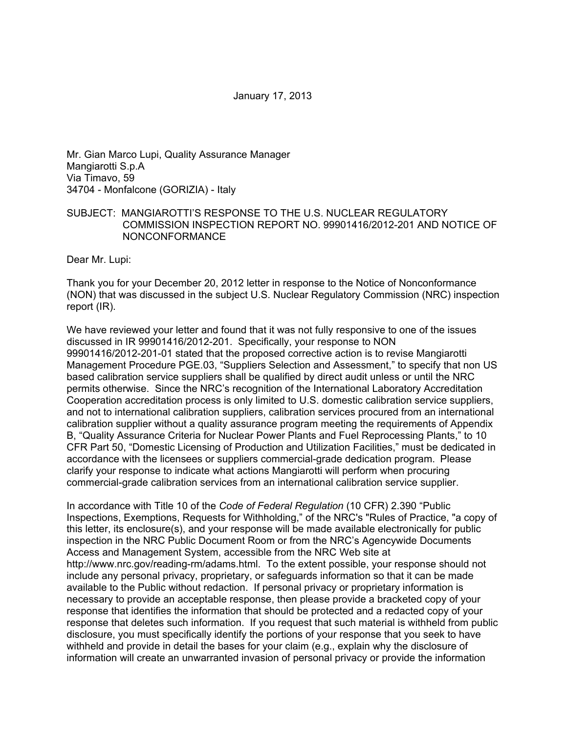January 17, 2013

Mr. Gian Marco Lupi, Quality Assurance Manager Mangiarotti S.p.A Via Timavo, 59 34704 - Monfalcone (GORIZIA) - Italy

## SUBJECT: MANGIAROTTI'S RESPONSE TO THE U.S. NUCLEAR REGULATORY COMMISSION INSPECTION REPORT NO. 99901416/2012-201 AND NOTICE OF NONCONFORMANCE

Dear Mr. Lupi:

Thank you for your December 20, 2012 letter in response to the Notice of Nonconformance (NON) that was discussed in the subject U.S. Nuclear Regulatory Commission (NRC) inspection report (IR).

We have reviewed your letter and found that it was not fully responsive to one of the issues discussed in IR 99901416/2012-201. Specifically, your response to NON 99901416/2012-201-01 stated that the proposed corrective action is to revise Mangiarotti Management Procedure PGE.03, "Suppliers Selection and Assessment," to specify that non US based calibration service suppliers shall be qualified by direct audit unless or until the NRC permits otherwise. Since the NRC's recognition of the International Laboratory Accreditation Cooperation accreditation process is only limited to U.S. domestic calibration service suppliers, and not to international calibration suppliers, calibration services procured from an international calibration supplier without a quality assurance program meeting the requirements of Appendix B, "Quality Assurance Criteria for Nuclear Power Plants and Fuel Reprocessing Plants," to 10 CFR Part 50, "Domestic Licensing of Production and Utilization Facilities," must be dedicated in accordance with the licensees or suppliers commercial-grade dedication program. Please clarify your response to indicate what actions Mangiarotti will perform when procuring commercial-grade calibration services from an international calibration service supplier.

In accordance with Title 10 of the *Code of Federal Regulation* (10 CFR) 2.390 "Public Inspections, Exemptions, Requests for Withholding," of the NRC's "Rules of Practice, "a copy of this letter, its enclosure(s), and your response will be made available electronically for public inspection in the NRC Public Document Room or from the NRC's Agencywide Documents Access and Management System, accessible from the NRC Web site at http://www.nrc.gov/reading-rm/adams.html. To the extent possible, your response should not include any personal privacy, proprietary, or safeguards information so that it can be made available to the Public without redaction. If personal privacy or proprietary information is necessary to provide an acceptable response, then please provide a bracketed copy of your response that identifies the information that should be protected and a redacted copy of your response that deletes such information. If you request that such material is withheld from public disclosure, you must specifically identify the portions of your response that you seek to have withheld and provide in detail the bases for your claim (e.g., explain why the disclosure of information will create an unwarranted invasion of personal privacy or provide the information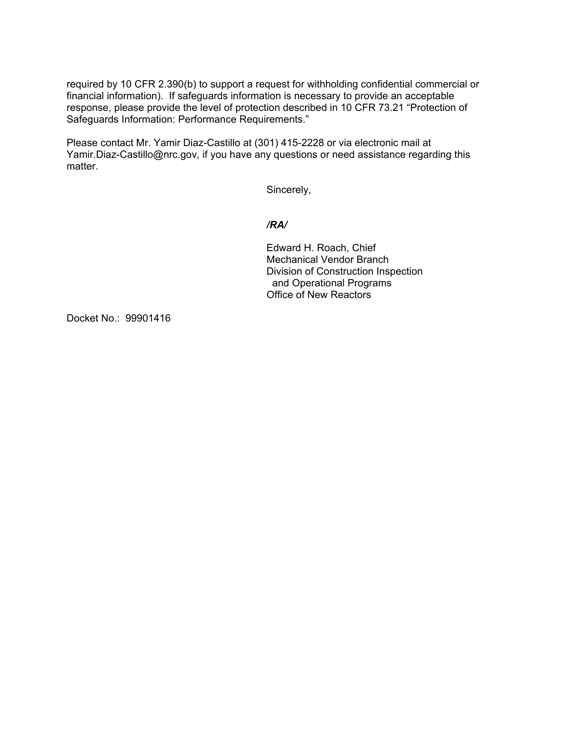required by 10 CFR 2.390(b) to support a request for withholding confidential commercial or financial information). If safeguards information is necessary to provide an acceptable response, please provide the level of protection described in 10 CFR 73.21 "Protection of Safeguards Information: Performance Requirements."

Please contact Mr. Yamir Diaz-Castillo at (301) 415-2228 or via electronic mail at Yamir.Diaz-Castillo@nrc.gov, if you have any questions or need assistance regarding this matter.

Sincerely,

### */RA/*

Edward H. Roach, Chief Mechanical Vendor Branch Division of Construction Inspection and Operational Programs Office of New Reactors

Docket No.: 99901416